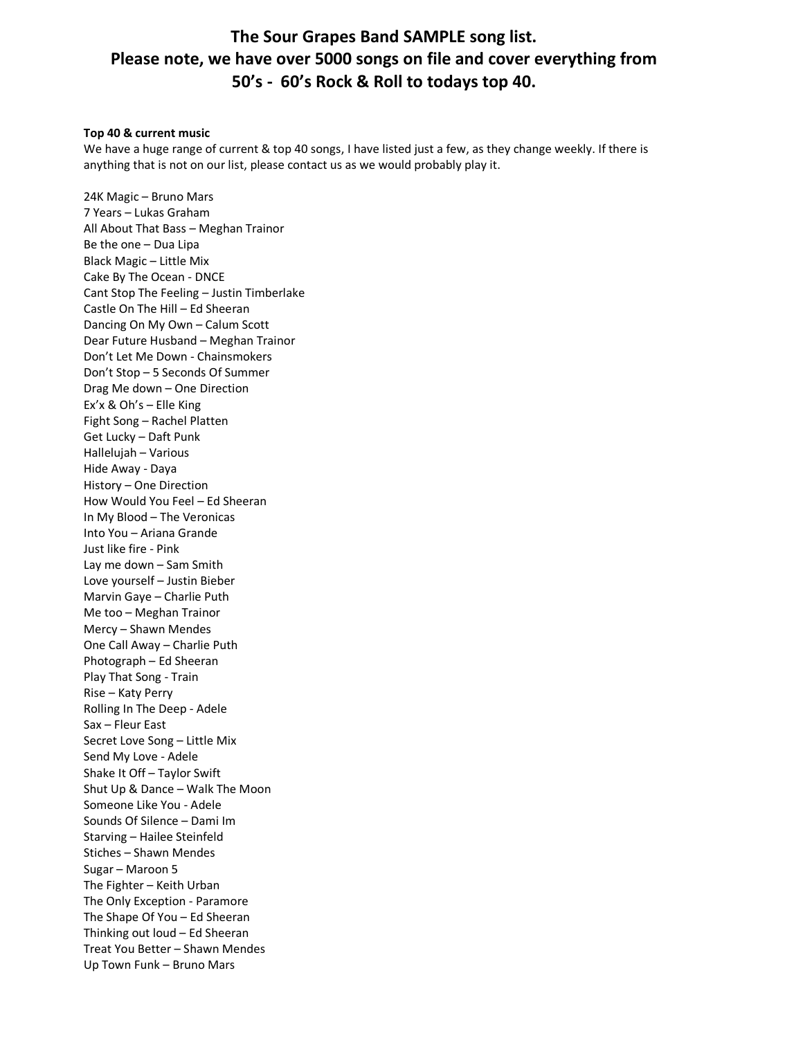# **The Sour Grapes Band SAMPLE song list. Please note, we have over 5000 songs on file and cover everything from 50's - 60's Rock & Roll to todays top 40.**

#### **Top 40 & current music**

We have a huge range of current & top 40 songs, I have listed just a few, as they change weekly. If there is anything that is not on our list, please contact us as we would probably play it.

24K Magic – Bruno Mars 7 Years – Lukas Graham All About That Bass – Meghan Trainor Be the one – Dua Lipa Black Magic – Little Mix Cake By The Ocean - DNCE Cant Stop The Feeling – Justin Timberlake Castle On The Hill – Ed Sheeran Dancing On My Own – Calum Scott Dear Future Husband – Meghan Trainor Don't Let Me Down - Chainsmokers Don't Stop – 5 Seconds Of Summer Drag Me down – One Direction Ex'x & Oh's – Elle King Fight Song – Rachel Platten Get Lucky – Daft Punk Hallelujah – Various Hide Away - Daya History – One Direction How Would You Feel – Ed Sheeran In My Blood – The Veronicas Into You – Ariana Grande Just like fire - Pink Lay me down – Sam Smith Love yourself – Justin Bieber Marvin Gaye – Charlie Puth Me too – Meghan Trainor Mercy – Shawn Mendes One Call Away – Charlie Puth Photograph – Ed Sheeran Play That Song - Train Rise – Katy Perry Rolling In The Deep - Adele Sax – Fleur East Secret Love Song – Little Mix Send My Love - Adele Shake It Off – Taylor Swift Shut Up & Dance – Walk The Moon Someone Like You - Adele Sounds Of Silence – Dami Im Starving – Hailee Steinfeld Stiches – Shawn Mendes Sugar – Maroon 5 The Fighter – Keith Urban The Only Exception - Paramore The Shape Of You – Ed Sheeran Thinking out loud – Ed Sheeran Treat You Better – Shawn Mendes Up Town Funk – Bruno Mars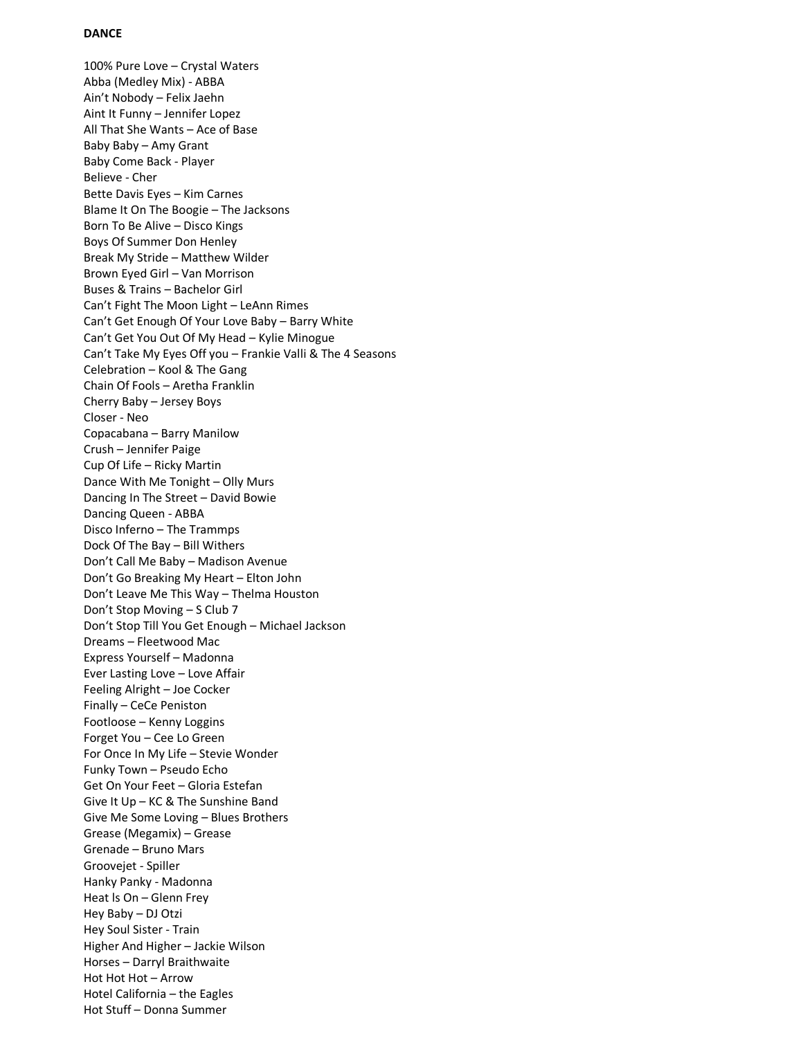## **DANCE**

100% Pure Love – Crystal Waters Abba (Medley Mix) - ABBA Ain't Nobody – Felix Jaehn Aint It Funny – Jennifer Lopez All That She Wants – Ace of Base Baby Baby – Amy Grant Baby Come Back - Player Believe - Cher Bette Davis Eyes – Kim Carnes Blame It On The Boogie – The Jacksons Born To Be Alive – Disco Kings Boys Of Summer Don Henley Break My Stride – Matthew Wilder Brown Eyed Girl – Van Morrison Buses & Trains – Bachelor Girl Can't Fight The Moon Light – LeAnn Rimes Can't Get Enough Of Your Love Baby – Barry White Can't Get You Out Of My Head – Kylie Minogue Can't Take My Eyes Off you – Frankie Valli & The 4 Seasons Celebration – Kool & The Gang Chain Of Fools – Aretha Franklin Cherry Baby – Jersey Boys Closer - Neo Copacabana – Barry Manilow Crush – Jennifer Paige Cup Of Life – Ricky Martin Dance With Me Tonight – Olly Murs Dancing In The Street – David Bowie Dancing Queen - ABBA Disco Inferno – The Trammps Dock Of The Bay – Bill Withers Don't Call Me Baby – Madison Avenue Don't Go Breaking My Heart – Elton John Don't Leave Me This Way – Thelma Houston Don't Stop Moving – S Club 7 Don't Stop Till You Get Enough – Michael Jackson Dreams – Fleetwood Mac Express Yourself – Madonna Ever Lasting Love – Love Affair Feeling Alright – Joe Cocker Finally – CeCe Peniston Footloose – Kenny Loggins Forget You – Cee Lo Green For Once In My Life – Stevie Wonder Funky Town – Pseudo Echo Get On Your Feet – Gloria Estefan Give It Up – KC & The Sunshine Band Give Me Some Loving – Blues Brothers Grease (Megamix) – Grease Grenade – Bruno Mars Groovejet - Spiller Hanky Panky - Madonna Heat ls On – Glenn Frey Hey Baby – DJ Otzi Hey Soul Sister - Train Higher And Higher – Jackie Wilson Horses – Darryl Braithwaite Hot Hot Hot – Arrow Hotel California – the Eagles Hot Stuff – Donna Summer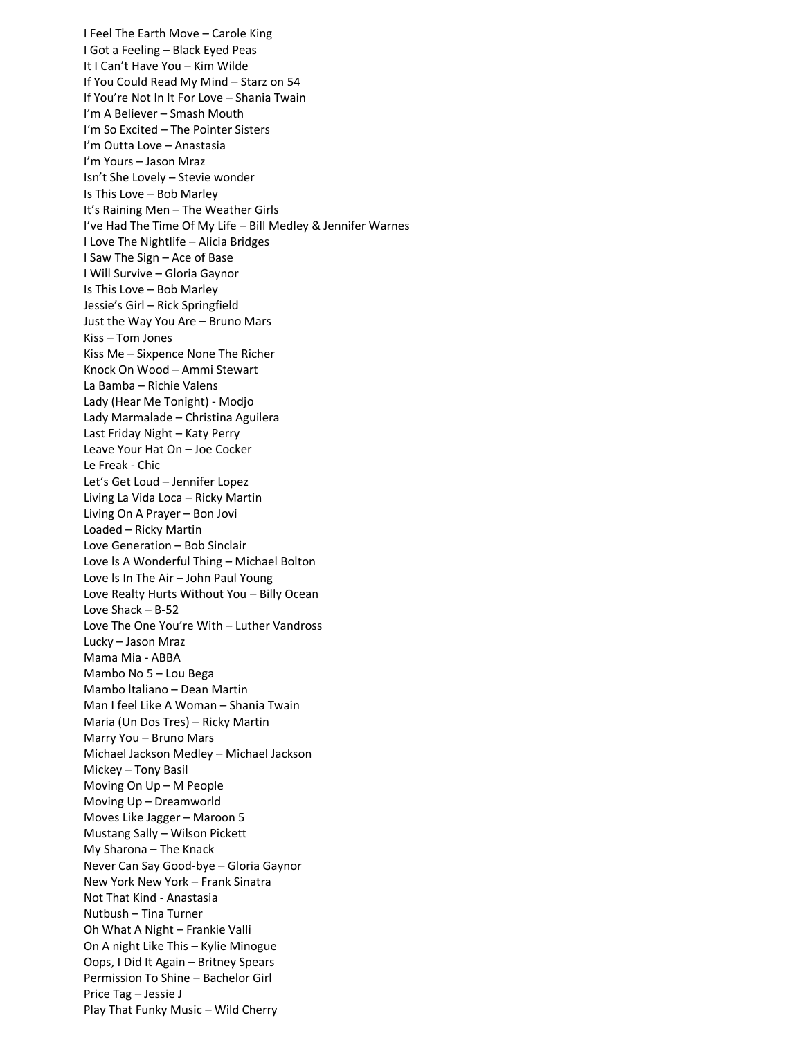I Feel The Earth Move – Carole King I Got a Feeling – Black Eyed Peas It I Can't Have You – Kim Wilde If You Could Read My Mind – Starz on 54 If You're Not In It For Love – Shania Twain I'm A Believer – Smash Mouth I'm So Excited – The Pointer Sisters I'm Outta Love – Anastasia I'm Yours – Jason Mraz Isn't She Lovely – Stevie wonder Is This Love – Bob Marley It's Raining Men – The Weather Girls I've Had The Time Of My Life – Bill Medley & Jennifer Warnes I Love The Nightlife – Alicia Bridges I Saw The Sign – Ace of Base I Will Survive – Gloria Gaynor Is This Love – Bob Marley Jessie's Girl – Rick Springfield Just the Way You Are – Bruno Mars Kiss – Tom Jones Kiss Me – Sixpence None The Richer Knock On Wood – Ammi Stewart La Bamba – Richie Valens Lady (Hear Me Tonight) - Modjo Lady Marmalade – Christina Aguilera Last Friday Night – Katy Perry Leave Your Hat On – Joe Cocker Le Freak - Chic Let's Get Loud – Jennifer Lopez Living La Vida Loca – Ricky Martin Living On A Prayer – Bon Jovi Loaded – Ricky Martin Love Generation – Bob Sinclair Love ls A Wonderful Thing – Michael Bolton Love ls In The Air – John Paul Young Love Realty Hurts Without You – Billy Ocean Love Shack – B-52 Love The One You're With – Luther Vandross Lucky – Jason Mraz Mama Mia - ABBA Mambo No 5 – Lou Bega Mambo ltaliano – Dean Martin Man I feel Like A Woman – Shania Twain Maria (Un Dos Tres) – Ricky Martin Marry You – Bruno Mars Michael Jackson Medley – Michael Jackson Mickey – Tony Basil Moving On Up – M People Moving Up – Dreamworld Moves Like Jagger – Maroon 5 Mustang Sally – Wilson Pickett My Sharona – The Knack Never Can Say Good-bye – Gloria Gaynor New York New York – Frank Sinatra Not That Kind - Anastasia Nutbush – Tina Turner Oh What A Night – Frankie Valli On A night Like This – Kylie Minogue Oops, I Did It Again – Britney Spears Permission To Shine – Bachelor Girl Price Tag – Jessie J Play That Funky Music – Wild Cherry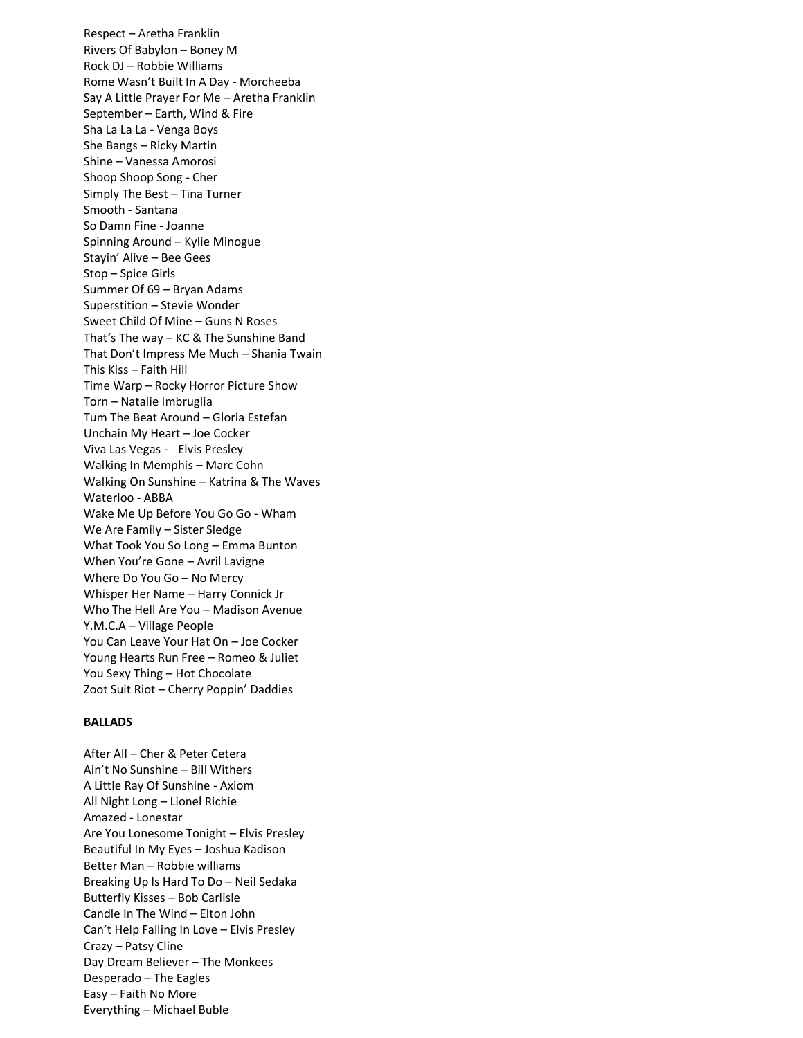Respect – Aretha Franklin Rivers Of Babylon – Boney M Rock DJ – Robbie Williams Rome Wasn't Built In A Day - Morcheeba Say A Little Prayer For Me – Aretha Franklin September – Earth, Wind & Fire Sha La La La - Venga Boys She Bangs – Ricky Martin Shine – Vanessa Amorosi Shoop Shoop Song - Cher Simply The Best – Tina Turner Smooth - Santana So Damn Fine - Joanne Spinning Around – Kylie Minogue Stayin' Alive – Bee Gees Stop – Spice Girls Summer Of 69 – Bryan Adams Superstition – Stevie Wonder Sweet Child Of Mine – Guns N Roses That's The way – KC & The Sunshine Band That Don't Impress Me Much – Shania Twain This Kiss – Faith Hill Time Warp – Rocky Horror Picture Show Torn – Natalie Imbruglia Tum The Beat Around – Gloria Estefan Unchain My Heart – Joe Cocker Viva Las Vegas - Elvis Presley Walking In Memphis – Marc Cohn Walking On Sunshine – Katrina & The Waves Waterloo - ABBA Wake Me Up Before You Go Go - Wham We Are Family – Sister Sledge What Took You So Long – Emma Bunton When You're Gone – Avril Lavigne Where Do You Go – No Mercy Whisper Her Name – Harry Connick Jr Who The Hell Are You – Madison Avenue Y.M.C.A – Village People You Can Leave Your Hat On – Joe Cocker Young Hearts Run Free – Romeo & Juliet You Sexy Thing – Hot Chocolate Zoot Suit Riot – Cherry Poppin' Daddies

## **BALLADS**

After All – Cher & Peter Cetera Ain't No Sunshine – Bill Withers A Little Ray Of Sunshine - Axiom All Night Long – Lionel Richie Amazed - Lonestar Are You Lonesome Tonight – Elvis Presley Beautiful In My Eyes – Joshua Kadison Better Man – Robbie williams Breaking Up ls Hard To Do – Neil Sedaka Butterfly Kisses – Bob Carlisle Candle In The Wind – Elton John Can't Help Falling In Love – Elvis Presley Crazy – Patsy Cline Day Dream Believer – The Monkees Desperado – The Eagles Easy – Faith No More Everything – Michael Buble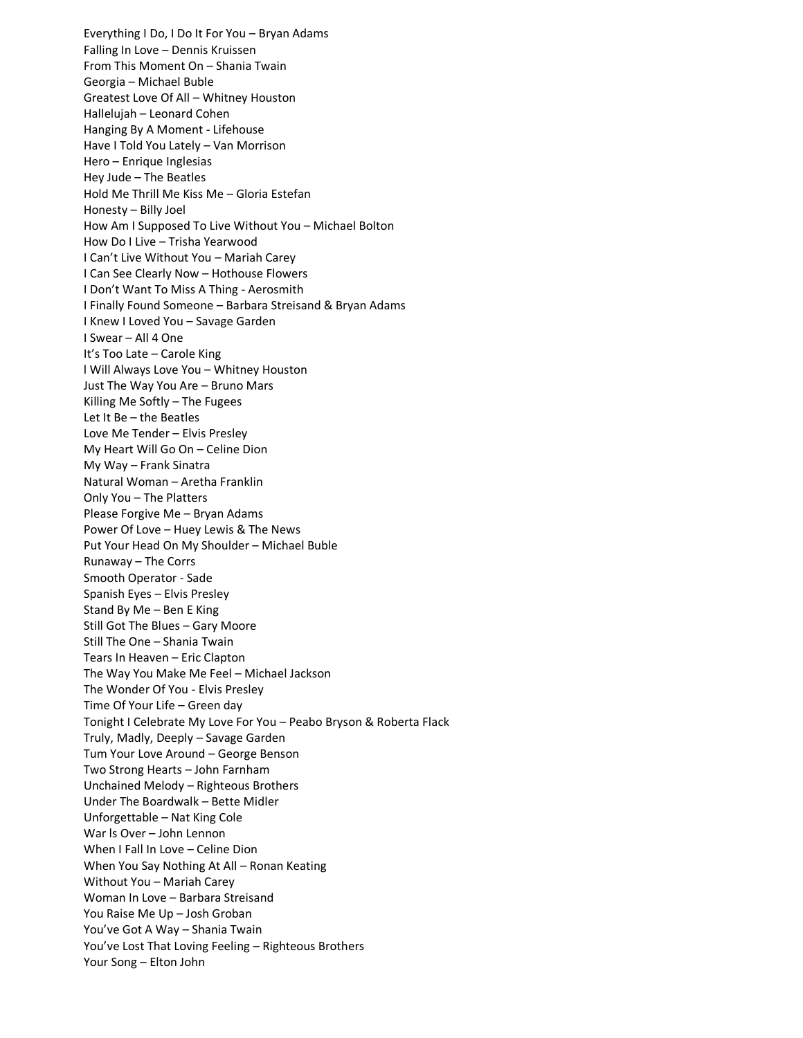Everything I Do, I Do It For You – Bryan Adams Falling In Love – Dennis Kruissen From This Moment On – Shania Twain Georgia – Michael Buble Greatest Love Of All – Whitney Houston Hallelujah – Leonard Cohen Hanging By A Moment - Lifehouse Have I Told You Lately – Van Morrison Hero – Enrique Inglesias Hey Jude – The Beatles Hold Me Thrill Me Kiss Me – Gloria Estefan Honesty – Billy Joel How Am I Supposed To Live Without You – Michael Bolton How Do I Live – Trisha Yearwood I Can't Live Without You – Mariah Carey I Can See Clearly Now – Hothouse Flowers I Don't Want To Miss A Thing - Aerosmith I Finally Found Someone – Barbara Streisand & Bryan Adams I Knew I Loved You – Savage Garden I Swear – All 4 One It's Too Late – Carole King l Will Always Love You – Whitney Houston Just The Way You Are – Bruno Mars Killing Me Softly – The Fugees Let It Be – the Beatles Love Me Tender – Elvis Presley My Heart Will Go On – Celine Dion My Way – Frank Sinatra Natural Woman – Aretha Franklin Only You – The Platters Please Forgive Me – Bryan Adams Power Of Love – Huey Lewis & The News Put Your Head On My Shoulder – Michael Buble Runaway – The Corrs Smooth Operator - Sade Spanish Eyes – Elvis Presley Stand By Me – Ben E King Still Got The Blues – Gary Moore Still The One – Shania Twain Tears In Heaven – Eric Clapton The Way You Make Me Feel – Michael Jackson The Wonder Of You - Elvis Presley Time Of Your Life – Green day Tonight I Celebrate My Love For You – Peabo Bryson & Roberta Flack Truly, Madly, Deeply – Savage Garden Tum Your Love Around – George Benson Two Strong Hearts – John Farnham Unchained Melody – Righteous Brothers Under The Boardwalk – Bette Midler Unforgettable – Nat King Cole War ls Over – John Lennon When I Fall In Love – Celine Dion When You Say Nothing At All – Ronan Keating Without You – Mariah Carey Woman In Love – Barbara Streisand You Raise Me Up – Josh Groban You've Got A Way – Shania Twain You've Lost That Loving Feeling – Righteous Brothers Your Song – Elton John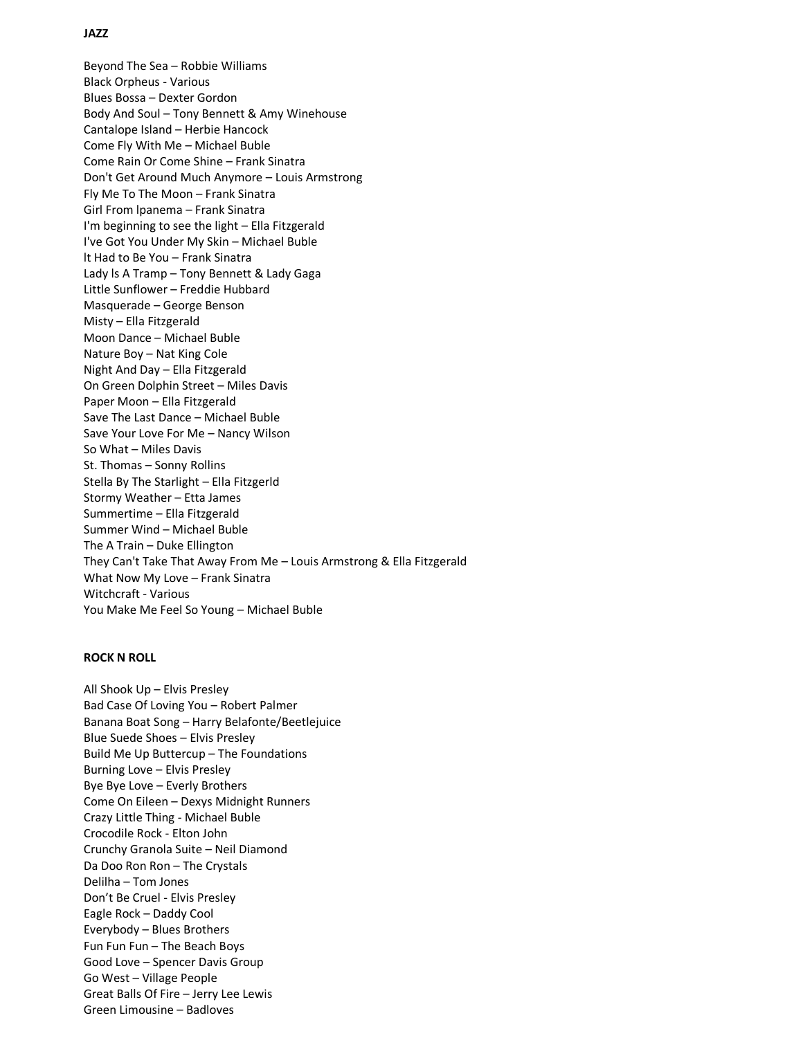# **JAZZ**

Beyond The Sea – Robbie Williams Black Orpheus - Various Blues Bossa – Dexter Gordon Body And Soul – Tony Bennett & Amy Winehouse Cantalope Island – Herbie Hancock Come Fly With Me – Michael Buble Come Rain Or Come Shine – Frank Sinatra Don't Get Around Much Anymore – Louis Armstrong Fly Me To The Moon – Frank Sinatra Girl From lpanema – Frank Sinatra I'm beginning to see the light – Ella Fitzgerald I've Got You Under My Skin – Michael Buble lt Had to Be You – Frank Sinatra Lady ls A Tramp – Tony Bennett & Lady Gaga Little Sunflower – Freddie Hubbard Masquerade – George Benson Misty – Ella Fitzgerald Moon Dance – Michael Buble Nature Boy – Nat King Cole Night And Day – Ella Fitzgerald On Green Dolphin Street – Miles Davis Paper Moon – Ella Fitzgerald Save The Last Dance – Michael Buble Save Your Love For Me – Nancy Wilson So What – Miles Davis St. Thomas – Sonny Rollins Stella By The Starlight – Ella Fitzgerld Stormy Weather – Etta James Summertime – Ella Fitzgerald Summer Wind – Michael Buble The A Train – Duke Ellington They Can't Take That Away From Me – Louis Armstrong & Ella Fitzgerald What Now My Love – Frank Sinatra Witchcraft - Various You Make Me Feel So Young – Michael Buble

# **ROCK N ROLL**

All Shook Up – Elvis Presley Bad Case Of Loving You – Robert Palmer Banana Boat Song – Harry Belafonte/Beetlejuice Blue Suede Shoes – Elvis Presley Build Me Up Buttercup – The Foundations Burning Love – Elvis Presley Bye Bye Love – Everly Brothers Come On Eileen – Dexys Midnight Runners Crazy Little Thing - Michael Buble Crocodile Rock - Elton John Crunchy Granola Suite – Neil Diamond Da Doo Ron Ron – The Crystals Delilha – Tom Jones Don't Be Cruel - Elvis Presley Eagle Rock – Daddy Cool Everybody – Blues Brothers Fun Fun Fun – The Beach Boys Good Love – Spencer Davis Group Go West – Village People Great Balls Of Fire – Jerry Lee Lewis Green Limousine – Badloves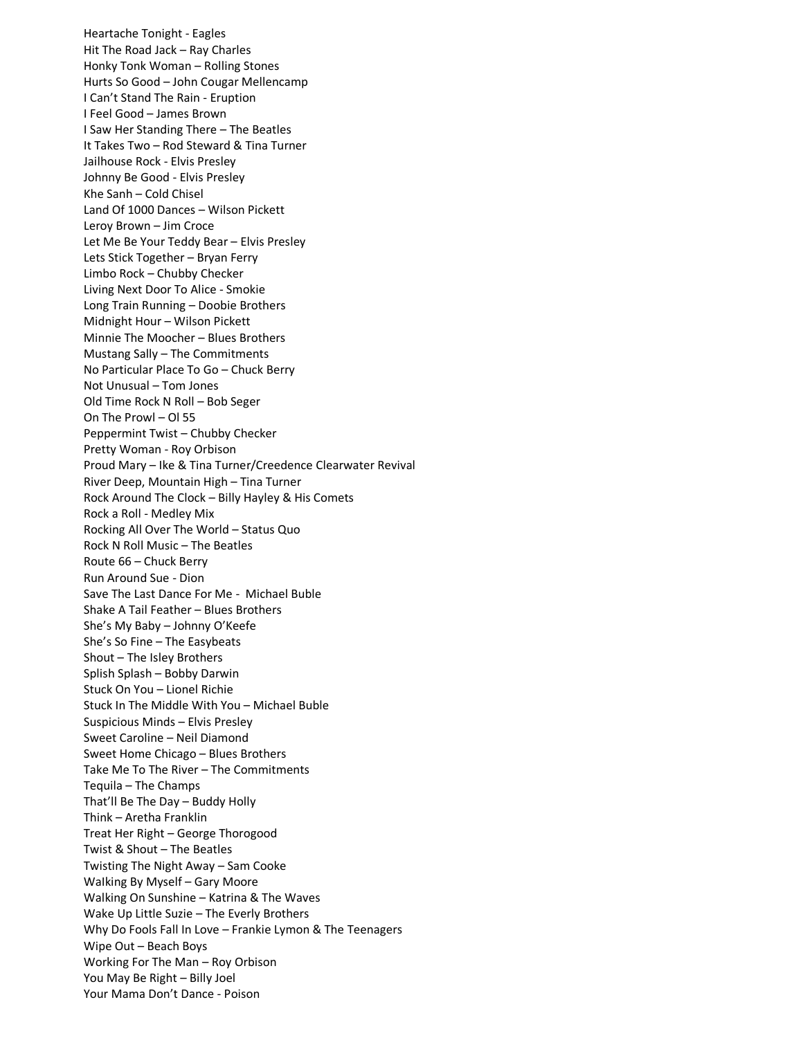Heartache Tonight - Eagles Hit The Road Jack – Ray Charles Honky Tonk Woman – Rolling Stones Hurts So Good – John Cougar Mellencamp I Can't Stand The Rain - Eruption I Feel Good – James Brown I Saw Her Standing There – The Beatles It Takes Two – Rod Steward & Tina Turner Jailhouse Rock - Elvis Presley Johnny Be Good - Elvis Presley Khe Sanh – Cold Chisel Land Of 1000 Dances – Wilson Pickett Leroy Brown – Jim Croce Let Me Be Your Teddy Bear – Elvis Presley Lets Stick Together – Bryan Ferry Limbo Rock – Chubby Checker Living Next Door To Alice - Smokie Long Train Running – Doobie Brothers Midnight Hour – Wilson Pickett Minnie The Moocher – Blues Brothers Mustang Sally – The Commitments No Particular Place To Go – Chuck Berry Not Unusual – Tom Jones Old Time Rock N Roll – Bob Seger On The Prowl – Ol 55 Peppermint Twist – Chubby Checker Pretty Woman - Roy Orbison Proud Mary – Ike & Tina Turner/Creedence Clearwater Revival River Deep, Mountain High – Tina Turner Rock Around The Clock – Billy Hayley & His Comets Rock a Roll - Medley Mix Rocking All Over The World – Status Quo Rock N Roll Music – The Beatles Route 66 – Chuck Berry Run Around Sue - Dion Save The Last Dance For Me - Michael Buble Shake A Tail Feather – Blues Brothers She's My Baby – Johnny O'Keefe She's So Fine – The Easybeats Shout – The Isley Brothers Splish Splash – Bobby Darwin Stuck On You – Lionel Richie Stuck In The Middle With You – Michael Buble Suspicious Minds – Elvis Presley Sweet Caroline – Neil Diamond Sweet Home Chicago – Blues Brothers Take Me To The River – The Commitments Tequila – The Champs That'll Be The Day – Buddy Holly Think – Aretha Franklin Treat Her Right – George Thorogood Twist & Shout – The Beatles Twisting The Night Away – Sam Cooke WaIking By Myself – Gary Moore Walking On Sunshine – Katrina & The Waves Wake Up Little Suzie – The Everly Brothers Why Do Fools Fall In Love – Frankie Lymon & The Teenagers Wipe Out – Beach Boys Working For The Man – Roy Orbison You May Be Right – Billy Joel Your Mama Don't Dance - Poison